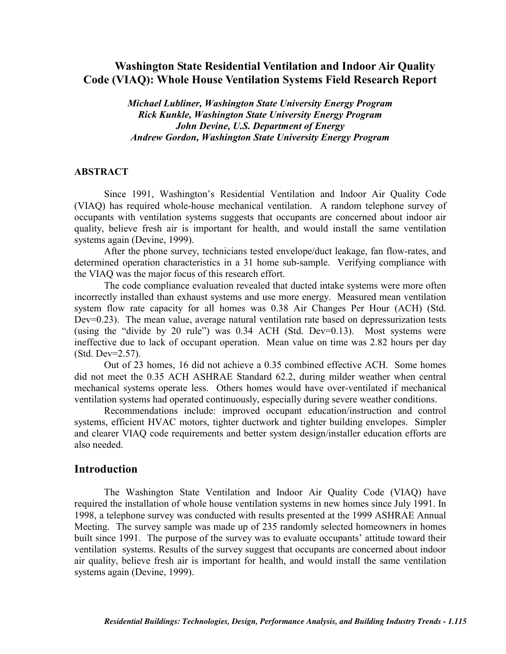# **Washington State Residential Ventilation and Indoor Air Quality Code (VIAQ): Whole House Ventilation Systems Field Research Report**

*Michael Lubliner, Washington State University Energy Program Rick Kunkle, Washington State University Energy Program John Devine, U.S. Department of Energy Andrew Gordon, Washington State University Energy Program* 

#### **ABSTRACT**

Since 1991, Washington's Residential Ventilation and Indoor Air Quality Code (VIAQ) has required whole-house mechanical ventilation. A random telephone survey of occupants with ventilation systems suggests that occupants are concerned about indoor air quality, believe fresh air is important for health, and would install the same ventilation systems again (Devine, 1999).

After the phone survey, technicians tested envelope/duct leakage, fan flow-rates, and determined operation characteristics in a 31 home sub-sample. Verifying compliance with the VIAQ was the major focus of this research effort.

The code compliance evaluation revealed that ducted intake systems were more often incorrectly installed than exhaust systems and use more energy. Measured mean ventilation system flow rate capacity for all homes was 0.38 Air Changes Per Hour (ACH) (Std. Dev=0.23). The mean value, average natural ventilation rate based on depressurization tests (using the "divide by 20 rule") was 0.34 ACH (Std. Dev=0.13). Most systems were ineffective due to lack of occupant operation. Mean value on time was 2.82 hours per day (Std. Dev=2.57).

Out of 23 homes, 16 did not achieve a 0.35 combined effective ACH. Some homes did not meet the 0.35 ACH ASHRAE Standard 62.2, during milder weather when central mechanical systems operate less. Others homes would have over-ventilated if mechanical ventilation systems had operated continuously, especially during severe weather conditions.

Recommendations include: improved occupant education/instruction and control systems, efficient HVAC motors, tighter ductwork and tighter building envelopes. Simpler and clearer VIAQ code requirements and better system design/installer education efforts are also needed.

### **Introduction**

The Washington State Ventilation and Indoor Air Quality Code (VIAQ) have required the installation of whole house ventilation systems in new homes since July 1991. In 1998, a telephone survey was conducted with results presented at the 1999 ASHRAE Annual Meeting. The survey sample was made up of 235 randomly selected homeowners in homes built since 1991. The purpose of the survey was to evaluate occupants' attitude toward their ventilation systems. Results of the survey suggest that occupants are concerned about indoor air quality, believe fresh air is important for health, and would install the same ventilation systems again (Devine, 1999).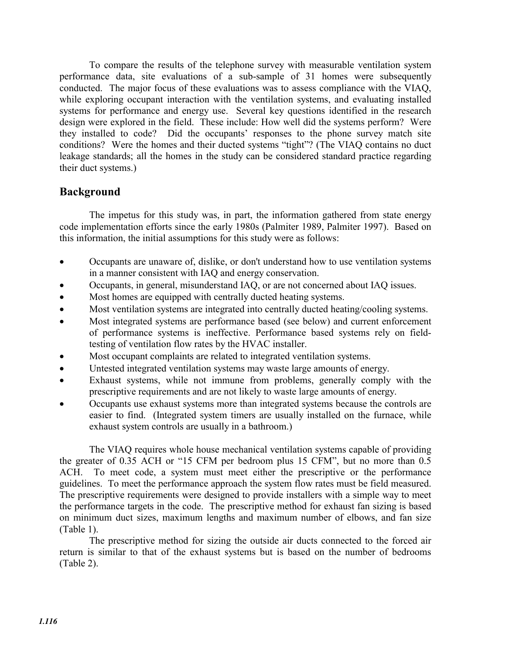To compare the results of the telephone survey with measurable ventilation system performance data, site evaluations of a sub-sample of 31 homes were subsequently conducted. The major focus of these evaluations was to assess compliance with the VIAQ, while exploring occupant interaction with the ventilation systems, and evaluating installed systems for performance and energy use. Several key questions identified in the research design were explored in the field. These include: How well did the systems perform? Were they installed to code? Did the occupants' responses to the phone survey match site conditions? Were the homes and their ducted systems "tight"? (The VIAQ contains no duct leakage standards; all the homes in the study can be considered standard practice regarding their duct systems.)

# **Background**

The impetus for this study was, in part, the information gathered from state energy code implementation efforts since the early 1980s (Palmiter 1989, Palmiter 1997). Based on this information, the initial assumptions for this study were as follows:

- Occupants are unaware of, dislike, or don't understand how to use ventilation systems in a manner consistent with IAQ and energy conservation.
- x Occupants, in general, misunderstand IAQ, or are not concerned about IAQ issues.
- Most homes are equipped with centrally ducted heating systems.
- Most ventilation systems are integrated into centrally ducted heating/cooling systems.
- Most integrated systems are performance based (see below) and current enforcement of performance systems is ineffective. Performance based systems rely on fieldtesting of ventilation flow rates by the HVAC installer.
- Most occupant complaints are related to integrated ventilation systems.
- Untested integrated ventilation systems may waste large amounts of energy.
- Exhaust systems, while not immune from problems, generally comply with the prescriptive requirements and are not likely to waste large amounts of energy.
- Occupants use exhaust systems more than integrated systems because the controls are easier to find. (Integrated system timers are usually installed on the furnace, while exhaust system controls are usually in a bathroom.)

The VIAQ requires whole house mechanical ventilation systems capable of providing the greater of 0.35 ACH or "15 CFM per bedroom plus 15 CFM", but no more than 0.5 ACH. To meet code, a system must meet either the prescriptive or the performance guidelines. To meet the performance approach the system flow rates must be field measured. The prescriptive requirements were designed to provide installers with a simple way to meet the performance targets in the code. The prescriptive method for exhaust fan sizing is based on minimum duct sizes, maximum lengths and maximum number of elbows, and fan size (Table 1).

The prescriptive method for sizing the outside air ducts connected to the forced air return is similar to that of the exhaust systems but is based on the number of bedrooms (Table 2).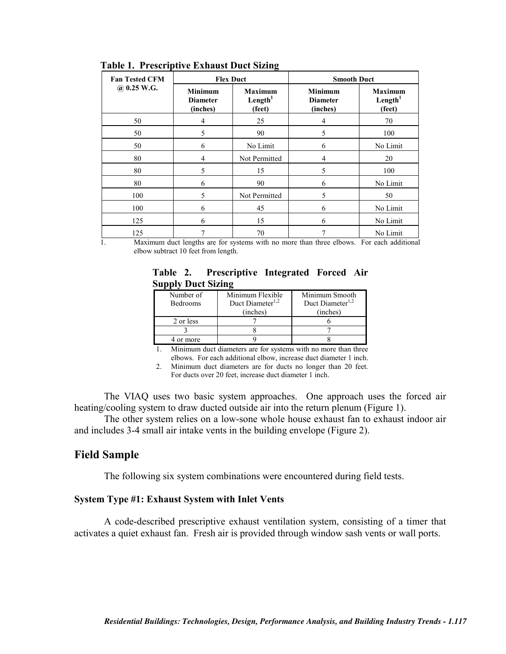| <b>Fan Tested CFM</b> | <b>Flex Duct</b>                              |                                                 | <b>Smooth Duct</b>                            |                                                 |  |
|-----------------------|-----------------------------------------------|-------------------------------------------------|-----------------------------------------------|-------------------------------------------------|--|
| $@.0.25$ W.G.         | <b>Minimum</b><br><b>Diameter</b><br>(inches) | <b>Maximum</b><br>Length <sup>1</sup><br>(feet) | <b>Minimum</b><br><b>Diameter</b><br>(inches) | <b>Maximum</b><br>Length <sup>1</sup><br>(feet) |  |
| 50                    | 4                                             | 25                                              | $\overline{4}$                                | 70                                              |  |
| 50                    | 5                                             | 90                                              | 5                                             | 100                                             |  |
| 50                    | 6                                             | No Limit                                        | 6                                             | No Limit                                        |  |
| 80                    | 4                                             | Not Permitted                                   | 4                                             | 20                                              |  |
| 80                    | 5                                             | 15                                              | 5                                             | 100                                             |  |
| 80                    | 6                                             | 90                                              | 6                                             | No Limit                                        |  |
| 100                   | 5                                             | Not Permitted                                   | 5                                             | 50                                              |  |
| 100                   | 6                                             | 45                                              | 6                                             | No Limit                                        |  |
| 125                   | 6                                             | 15                                              | 6                                             | No Limit                                        |  |
| 125                   |                                               | 70                                              | 7                                             | No Limit                                        |  |

**Table 1. Prescriptive Exhaust Duct Sizing** 

1. Maximum duct lengths are for systems with no more than three elbows. For each additional elbow subtract 10 feet from length.

|  | Table 2. Prescriptive Integrated Forced Air |  |  |
|--|---------------------------------------------|--|--|
|  | <b>Supply Duct Sizing</b>                   |  |  |

| Number of<br><b>Bedrooms</b> | Minimum Flexible<br>Duct Diameter <sup>1,2</sup> | Minimum Smooth<br>Duct Diameter <sup>1,2</sup> |
|------------------------------|--------------------------------------------------|------------------------------------------------|
|                              | (inches)                                         | (inches)                                       |
| 2 or less                    |                                                  |                                                |
|                              |                                                  |                                                |
| or more                      |                                                  |                                                |

1. Minimum duct diameters are for systems with no more than three elbows. For each additional elbow, increase duct diameter 1 inch.

2. Minimum duct diameters are for ducts no longer than 20 feet.

For ducts over 20 feet, increase duct diameter 1 inch.

The VIAQ uses two basic system approaches. One approach uses the forced air heating/cooling system to draw ducted outside air into the return plenum (Figure 1).

The other system relies on a low-sone whole house exhaust fan to exhaust indoor air and includes 3-4 small air intake vents in the building envelope (Figure 2).

## **Field Sample**

The following six system combinations were encountered during field tests.

#### **System Type #1: Exhaust System with Inlet Vents**

A code-described prescriptive exhaust ventilation system, consisting of a timer that activates a quiet exhaust fan. Fresh air is provided through window sash vents or wall ports.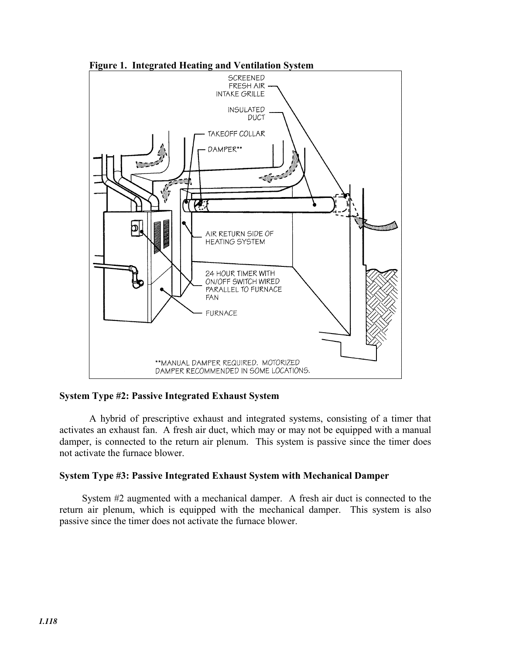

**Figure 1. Integrated Heating and Ventilation System** 

#### **System Type #2: Passive Integrated Exhaust System**

A hybrid of prescriptive exhaust and integrated systems, consisting of a timer that activates an exhaust fan. A fresh air duct, which may or may not be equipped with a manual damper, is connected to the return air plenum. This system is passive since the timer does not activate the furnace blower.

#### **System Type #3: Passive Integrated Exhaust System with Mechanical Damper**

System #2 augmented with a mechanical damper. A fresh air duct is connected to the return air plenum, which is equipped with the mechanical damper. This system is also passive since the timer does not activate the furnace blower.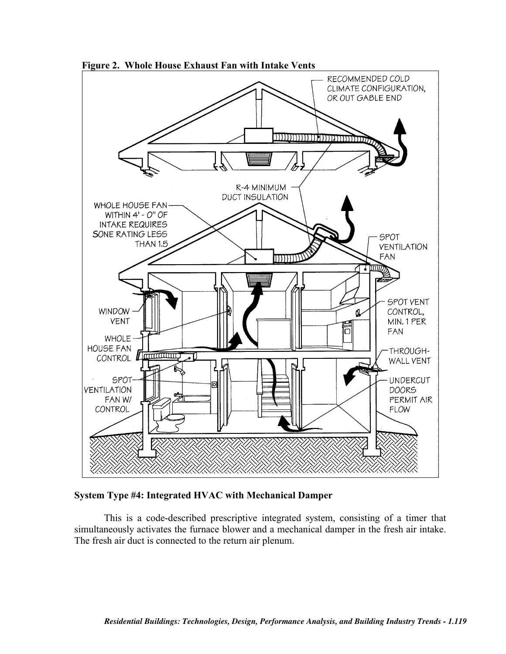

**Figure 2. Whole House Exhaust Fan with Intake Vents** 

**System Type #4: Integrated HVAC with Mechanical Damper** 

This is a code-described prescriptive integrated system, consisting of a timer that simultaneously activates the furnace blower and a mechanical damper in the fresh air intake. The fresh air duct is connected to the return air plenum.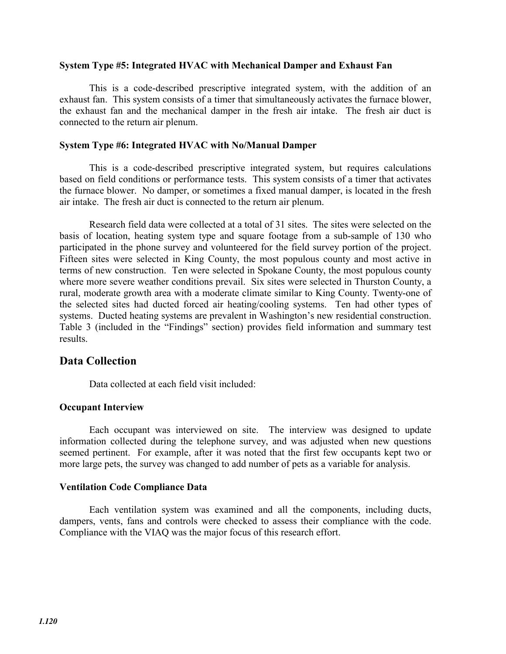#### **System Type #5: Integrated HVAC with Mechanical Damper and Exhaust Fan**

This is a code-described prescriptive integrated system, with the addition of an exhaust fan. This system consists of a timer that simultaneously activates the furnace blower, the exhaust fan and the mechanical damper in the fresh air intake. The fresh air duct is connected to the return air plenum.

### **System Type #6: Integrated HVAC with No/Manual Damper**

This is a code-described prescriptive integrated system, but requires calculations based on field conditions or performance tests. This system consists of a timer that activates the furnace blower. No damper, or sometimes a fixed manual damper, is located in the fresh air intake. The fresh air duct is connected to the return air plenum.

Research field data were collected at a total of 31 sites. The sites were selected on the basis of location, heating system type and square footage from a sub-sample of 130 who participated in the phone survey and volunteered for the field survey portion of the project. Fifteen sites were selected in King County, the most populous county and most active in terms of new construction. Ten were selected in Spokane County, the most populous county where more severe weather conditions prevail. Six sites were selected in Thurston County, a rural, moderate growth area with a moderate climate similar to King County. Twenty-one of the selected sites had ducted forced air heating/cooling systems. Ten had other types of systems. Ducted heating systems are prevalent in Washington's new residential construction. Table 3 (included in the "Findings" section) provides field information and summary test results.

## **Data Collection**

Data collected at each field visit included:

## **Occupant Interview**

Each occupant was interviewed on site. The interview was designed to update information collected during the telephone survey, and was adjusted when new questions seemed pertinent. For example, after it was noted that the first few occupants kept two or more large pets, the survey was changed to add number of pets as a variable for analysis.

#### **Ventilation Code Compliance Data**

Each ventilation system was examined and all the components, including ducts, dampers, vents, fans and controls were checked to assess their compliance with the code. Compliance with the VIAQ was the major focus of this research effort.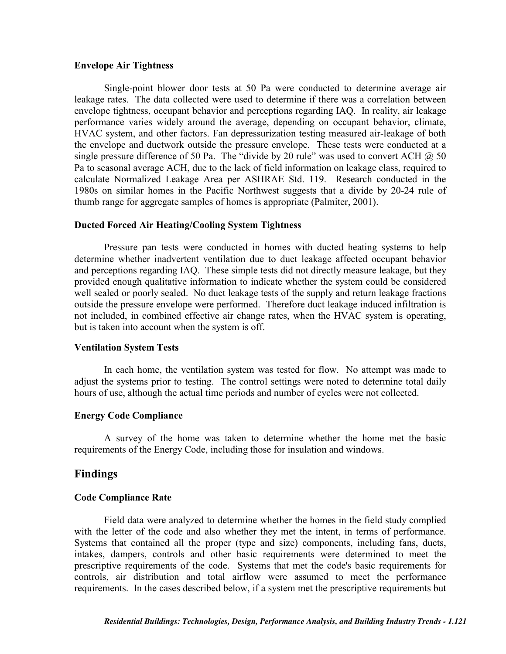#### **Envelope Air Tightness**

Single-point blower door tests at 50 Pa were conducted to determine average air leakage rates. The data collected were used to determine if there was a correlation between envelope tightness, occupant behavior and perceptions regarding IAQ. In reality, air leakage performance varies widely around the average, depending on occupant behavior, climate, HVAC system, and other factors. Fan depressurization testing measured air-leakage of both the envelope and ductwork outside the pressure envelope. These tests were conducted at a single pressure difference of 50 Pa. The "divide by 20 rule" was used to convert ACH  $\omega$  50 Pa to seasonal average ACH, due to the lack of field information on leakage class, required to calculate Normalized Leakage Area per ASHRAE Std. 119. Research conducted in the 1980s on similar homes in the Pacific Northwest suggests that a divide by 20-24 rule of thumb range for aggregate samples of homes is appropriate (Palmiter, 2001).

### **Ducted Forced Air Heating/Cooling System Tightness**

Pressure pan tests were conducted in homes with ducted heating systems to help determine whether inadvertent ventilation due to duct leakage affected occupant behavior and perceptions regarding IAQ. These simple tests did not directly measure leakage, but they provided enough qualitative information to indicate whether the system could be considered well sealed or poorly sealed. No duct leakage tests of the supply and return leakage fractions outside the pressure envelope were performed. Therefore duct leakage induced infiltration is not included, in combined effective air change rates, when the HVAC system is operating, but is taken into account when the system is off.

## **Ventilation System Tests**

In each home, the ventilation system was tested for flow. No attempt was made to adjust the systems prior to testing. The control settings were noted to determine total daily hours of use, although the actual time periods and number of cycles were not collected.

## **Energy Code Compliance**

A survey of the home was taken to determine whether the home met the basic requirements of the Energy Code, including those for insulation and windows.

## **Findings**

## **Code Compliance Rate**

Field data were analyzed to determine whether the homes in the field study complied with the letter of the code and also whether they met the intent, in terms of performance. Systems that contained all the proper (type and size) components, including fans, ducts, intakes, dampers, controls and other basic requirements were determined to meet the prescriptive requirements of the code. Systems that met the code's basic requirements for controls, air distribution and total airflow were assumed to meet the performance requirements. In the cases described below, if a system met the prescriptive requirements but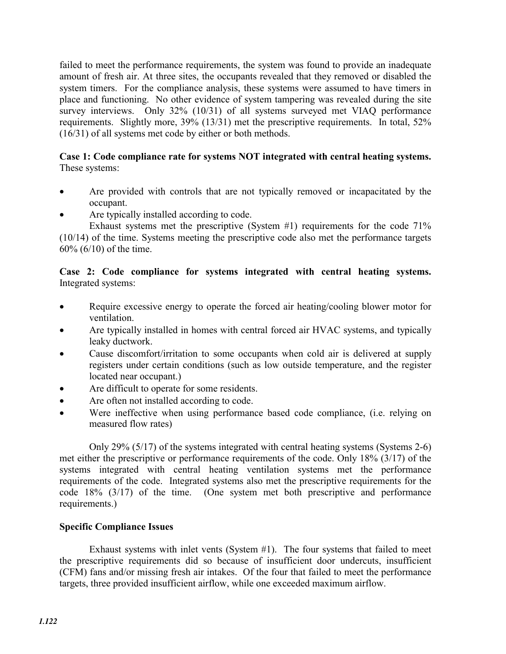failed to meet the performance requirements, the system was found to provide an inadequate amount of fresh air. At three sites, the occupants revealed that they removed or disabled the system timers. For the compliance analysis, these systems were assumed to have timers in place and functioning. No other evidence of system tampering was revealed during the site survey interviews. Only 32% (10/31) of all systems surveyed met VIAQ performance requirements. Slightly more, 39% (13/31) met the prescriptive requirements. In total, 52% (16/31) of all systems met code by either or both methods.

## **Case 1: Code compliance rate for systems NOT integrated with central heating systems.**  These systems:

- Are provided with controls that are not typically removed or incapacitated by the occupant.
- Are typically installed according to code.

Exhaust systems met the prescriptive (System #1) requirements for the code 71% (10/14) of the time. Systems meeting the prescriptive code also met the performance targets 60% (6/10) of the time.

## **Case 2: Code compliance for systems integrated with central heating systems.**  Integrated systems:

- Require excessive energy to operate the forced air heating/cooling blower motor for ventilation.
- Are typically installed in homes with central forced air HVAC systems, and typically leaky ductwork.
- Cause discomfort/irritation to some occupants when cold air is delivered at supply registers under certain conditions (such as low outside temperature, and the register located near occupant.)
- Are difficult to operate for some residents.
- Are often not installed according to code.
- Were ineffective when using performance based code compliance, (i.e. relying on measured flow rates)

Only 29% (5/17) of the systems integrated with central heating systems (Systems 2-6) met either the prescriptive or performance requirements of the code. Only 18% (3/17) of the systems integrated with central heating ventilation systems met the performance requirements of the code. Integrated systems also met the prescriptive requirements for the code 18% (3/17) of the time. (One system met both prescriptive and performance requirements.)

## **Specific Compliance Issues**

Exhaust systems with inlet vents (System #1). The four systems that failed to meet the prescriptive requirements did so because of insufficient door undercuts, insufficient (CFM) fans and/or missing fresh air intakes. Of the four that failed to meet the performance targets, three provided insufficient airflow, while one exceeded maximum airflow.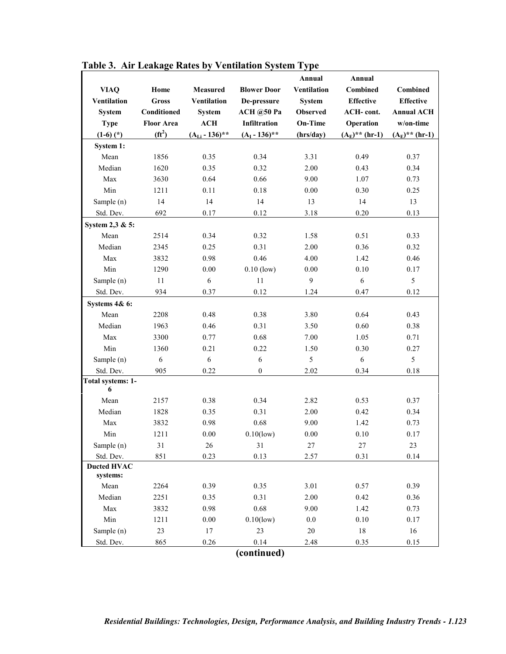|                                 |                   |                    |                     | Annual             | Annual              |                   |
|---------------------------------|-------------------|--------------------|---------------------|--------------------|---------------------|-------------------|
| <b>VIAQ</b>                     | Home              | Measured           | <b>Blower Door</b>  | <b>Ventilation</b> | <b>Combined</b>     | <b>Combined</b>   |
| <b>Ventilation</b>              | <b>Gross</b>      | <b>Ventilation</b> | De-pressure         | <b>System</b>      | <b>Effective</b>    | <b>Effective</b>  |
| <b>System</b>                   | Conditioned       | <b>System</b>      | <b>ACH</b> @50 Pa   | <b>Observed</b>    | <b>ACH-cont.</b>    | <b>Annual ACH</b> |
| <b>Type</b>                     | <b>Floor Area</b> | ACH                | <b>Infiltration</b> | <b>On-Time</b>     | Operation           | w/on-time         |
| $(1-6)$ $(*)$                   | $(f t^2)$         | $(ALi - 136)$ **   | $(AI - 136)$ **     | (hrs/day)          | $(A_E)^{**}$ (hr-1) | $(A_E)$ ** (hr-1) |
| System 1:                       |                   |                    |                     |                    |                     |                   |
| Mean                            | 1856              | 0.35               | 0.34                | 3.31               | 0.49                | 0.37              |
| Median                          | 1620              | 0.35               | 0.32                | 2.00               | 0.43                | 0.34              |
| Max                             | 3630              | 0.64               | 0.66                | 9.00               | 1.07                | 0.73              |
| Min                             | 1211              | 0.11               | 0.18                | 0.00               | 0.30                | 0.25              |
| Sample (n)                      | 14                | 14                 | 14                  | 13                 | 14                  | 13                |
| Std. Dev.                       | 692               | 0.17               | 0.12                | 3.18               | 0.20                | 0.13              |
| System 2,3 & 5:                 |                   |                    |                     |                    |                     |                   |
| Mean                            | 2514              | 0.34               | 0.32                | 1.58               | 0.51                | 0.33              |
| Median                          | 2345              | 0.25               | 0.31                | 2.00               | 0.36                | 0.32              |
| Max                             | 3832              | 0.98               | 0.46                | 4.00               | 1.42                | 0.46              |
| Min                             | 1290              | $0.00\,$           | $0.10$ (low)        | 0.00               | 0.10                | 0.17              |
| Sample (n)                      | 11                | 6                  | 11                  | $\mathbf{9}$       | 6                   | 5                 |
| Std. Dev.                       | 934               | 0.37               | 0.12                | 1.24               | 0.47                | 0.12              |
| Systems 4& 6:                   |                   |                    |                     |                    |                     |                   |
| Mean                            | 2208              | 0.48               | 0.38                | 3.80               | 0.64                | 0.43              |
| Median                          | 1963              | 0.46               | 0.31                | 3.50               | 0.60                | 0.38              |
| Max                             | 3300              | 0.77               | 0.68                | 7.00               | 1.05                | 0.71              |
| Min                             | 1360              | 0.21               | 0.22                | 1.50               | 0.30                | 0.27              |
| Sample (n)                      | 6                 | 6                  | 6                   | 5                  | 6                   | 5                 |
| Std. Dev.                       | 905               | 0.22               | $\mathbf{0}$        | 2.02               | 0.34                | 0.18              |
| Total systems: 1-               |                   |                    |                     |                    |                     |                   |
| 6                               |                   |                    |                     |                    |                     |                   |
| Mean                            | 2157              | 0.38               | 0.34                | 2.82               | 0.53                | 0.37              |
| Median                          | 1828              | 0.35               | 0.31                | 2.00               | 0.42                | 0.34              |
| Max                             | 3832              | 0.98               | 0.68                | 9.00               | 1.42                | 0.73              |
| Min                             | 1211              | $0.00\,$           | $0.10$ (low)        | $0.00\,$           | 0.10                | 0.17              |
| Sample (n)                      | 31                | 26                 | 31                  | $27\,$             | $27\,$              | 23                |
| Std. Dev.<br><b>Ducted HVAC</b> | 851               | 0.23               | 0.13                | 2.57               | 0.31                | 0.14              |
| systems:                        |                   |                    |                     |                    |                     |                   |
| Mean                            | 2264              | 0.39               | 0.35                | 3.01               | 0.57                | 0.39              |
| Median                          | 2251              | 0.35               | 0.31                | 2.00               | 0.42                | 0.36              |
| Max                             | 3832              | 0.98               | 0.68                | 9.00               | 1.42                | 0.73              |
| Min                             | 1211              | $0.00\,$           | $0.10$ (low)        | $0.0\,$            | $0.10\,$            | 0.17              |
| Sample (n)                      | 23                | 17                 | 23                  | 20                 | $18\,$              | 16                |
| Std. Dev.                       | 865               | 0.26               | 0.14                | 2.48               | 0.35                | 0.15              |
|                                 |                   |                    | $f_{\text{inmod}}$  |                    |                     |                   |

# **Table 3. Air Leakage Rates by Ventilation System Type**

**(continued)**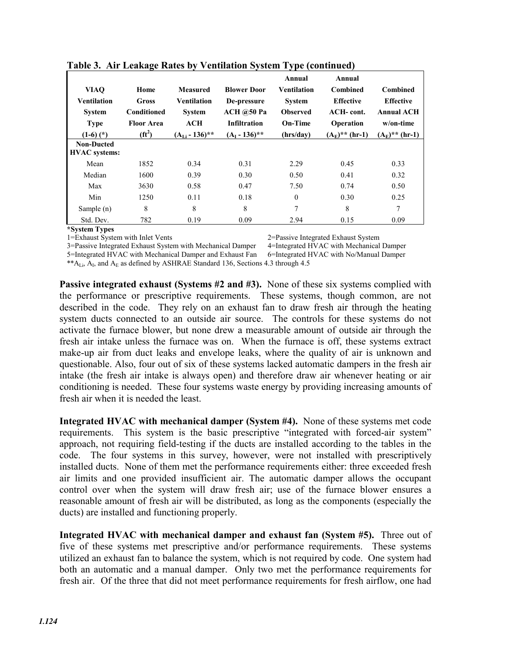| <b>VIAO</b><br><b>Ventilation</b><br><b>System</b><br><b>Type</b><br>$(1-6)$ $(*)$<br><b>Non-Ducted</b> | Home<br><b>Gross</b><br>Conditioned<br><b>Floor Area</b><br>$(f t^2)$ | <b>Measured</b><br><b>Ventilation</b><br><b>System</b><br>ACH<br>$(AL - 136)$ ** | <b>Blower Door</b><br>De-pressure<br><b>ACH</b> @50 Pa<br><b>Infiltration</b><br>$(AI - 136)$ ** | Annual<br>Ventilation<br><b>System</b><br><b>Observed</b><br>On-Time<br>(hrs/day) | Annual<br><b>Combined</b><br><b>Effective</b><br>ACH-cont.<br><b>Operation</b><br>$(A_E)^{**}$ (hr-1) | <b>Combined</b><br><b>Effective</b><br><b>Annual ACH</b><br>w/on-time<br>$(A_E)^{**}$ (hr-1) |
|---------------------------------------------------------------------------------------------------------|-----------------------------------------------------------------------|----------------------------------------------------------------------------------|--------------------------------------------------------------------------------------------------|-----------------------------------------------------------------------------------|-------------------------------------------------------------------------------------------------------|----------------------------------------------------------------------------------------------|
| <b>HVAC</b> systems:                                                                                    |                                                                       |                                                                                  |                                                                                                  |                                                                                   |                                                                                                       |                                                                                              |
| Mean                                                                                                    | 1852                                                                  | 0.34                                                                             | 0.31                                                                                             | 2.29                                                                              | 0.45                                                                                                  | 0.33                                                                                         |
| Median                                                                                                  | 1600                                                                  | 0.39                                                                             | 0.30                                                                                             | 0.50                                                                              | 0.41                                                                                                  | 0.32                                                                                         |
| Max                                                                                                     | 3630                                                                  | 0.58                                                                             | 0.47                                                                                             | 7.50                                                                              | 0.74                                                                                                  | 0.50                                                                                         |
| Min                                                                                                     | 1250                                                                  | 0.11                                                                             | 0.18                                                                                             | $\mathbf{0}$                                                                      | 0.30                                                                                                  | 0.25                                                                                         |
| Sample $(n)$                                                                                            | 8                                                                     | 8                                                                                | 8                                                                                                | 7                                                                                 | 8                                                                                                     | 7                                                                                            |
| Std. Dev.                                                                                               | 782                                                                   | 0.19                                                                             | 0.09                                                                                             | 2.94                                                                              | 0.15                                                                                                  | 0.09                                                                                         |

### **Table 3. Air Leakage Rates by Ventilation System Type (continued)**

**\*System Types** 

2=Passive Integrated Exhaust System

5=Integrated HVAC with Mechanical Damper and Exhaust Fan

\*\* $A_{Li}$ ,  $A_I$ , and  $A_E$  as defined by ASHRAE Standard 136, Sections 4.3 through 4.5

3=Passive Integrated Exhaust System with Mechanical Damper 4=Integrated HVAC with Mechanical Damper 5=Integrated HVAC with Mechanical Damper and Exhaust Fan 6=Integrated HVAC with No/Manual Damper

**Passive integrated exhaust (Systems #2 and #3).** None of these six systems complied with the performance or prescriptive requirements. These systems, though common, are not described in the code. They rely on an exhaust fan to draw fresh air through the heating system ducts connected to an outside air source. The controls for these systems do not activate the furnace blower, but none drew a measurable amount of outside air through the fresh air intake unless the furnace was on. When the furnace is off, these systems extract make-up air from duct leaks and envelope leaks, where the quality of air is unknown and questionable. Also, four out of six of these systems lacked automatic dampers in the fresh air intake (the fresh air intake is always open) and therefore draw air whenever heating or air conditioning is needed. These four systems waste energy by providing increasing amounts of fresh air when it is needed the least.

**Integrated HVAC with mechanical damper (System #4).** None of these systems met code requirements. This system is the basic prescriptive "integrated with forced-air system" approach, not requiring field-testing if the ducts are installed according to the tables in the code. The four systems in this survey, however, were not installed with prescriptively installed ducts. None of them met the performance requirements either: three exceeded fresh air limits and one provided insufficient air. The automatic damper allows the occupant control over when the system will draw fresh air; use of the furnace blower ensures a reasonable amount of fresh air will be distributed, as long as the components (especially the ducts) are installed and functioning properly.

**Integrated HVAC with mechanical damper and exhaust fan (System #5).** Three out of five of these systems met prescriptive and/or performance requirements. These systems utilized an exhaust fan to balance the system, which is not required by code. One system had both an automatic and a manual damper. Only two met the performance requirements for fresh air. Of the three that did not meet performance requirements for fresh airflow, one had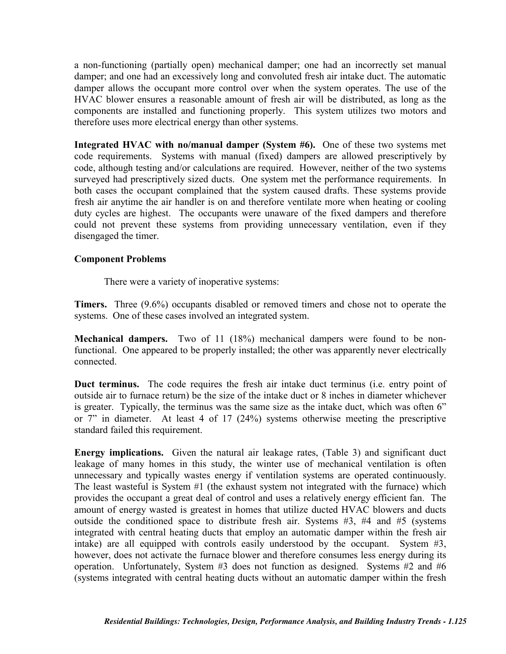a non-functioning (partially open) mechanical damper; one had an incorrectly set manual damper; and one had an excessively long and convoluted fresh air intake duct. The automatic damper allows the occupant more control over when the system operates. The use of the HVAC blower ensures a reasonable amount of fresh air will be distributed, as long as the components are installed and functioning properly. This system utilizes two motors and therefore uses more electrical energy than other systems.

**Integrated HVAC with no/manual damper (System #6).** One of these two systems met code requirements. Systems with manual (fixed) dampers are allowed prescriptively by code, although testing and/or calculations are required. However, neither of the two systems surveyed had prescriptively sized ducts. One system met the performance requirements. In both cases the occupant complained that the system caused drafts. These systems provide fresh air anytime the air handler is on and therefore ventilate more when heating or cooling duty cycles are highest. The occupants were unaware of the fixed dampers and therefore could not prevent these systems from providing unnecessary ventilation, even if they disengaged the timer.

## **Component Problems**

There were a variety of inoperative systems:

**Timers.** Three (9.6%) occupants disabled or removed timers and chose not to operate the systems. One of these cases involved an integrated system.

**Mechanical dampers.** Two of 11 (18%) mechanical dampers were found to be nonfunctional. One appeared to be properly installed; the other was apparently never electrically connected.

**Duct terminus.** The code requires the fresh air intake duct terminus (i.e. entry point of outside air to furnace return) be the size of the intake duct or 8 inches in diameter whichever is greater. Typically, the terminus was the same size as the intake duct, which was often 6" or 7" in diameter. At least 4 of 17 (24%) systems otherwise meeting the prescriptive standard failed this requirement.

**Energy implications.** Given the natural air leakage rates, (Table 3) and significant duct leakage of many homes in this study, the winter use of mechanical ventilation is often unnecessary and typically wastes energy if ventilation systems are operated continuously. The least wasteful is System #1 (the exhaust system not integrated with the furnace) which provides the occupant a great deal of control and uses a relatively energy efficient fan. The amount of energy wasted is greatest in homes that utilize ducted HVAC blowers and ducts outside the conditioned space to distribute fresh air. Systems #3, #4 and #5 (systems integrated with central heating ducts that employ an automatic damper within the fresh air intake) are all equipped with controls easily understood by the occupant. System #3, however, does not activate the furnace blower and therefore consumes less energy during its operation. Unfortunately, System #3 does not function as designed. Systems #2 and #6 (systems integrated with central heating ducts without an automatic damper within the fresh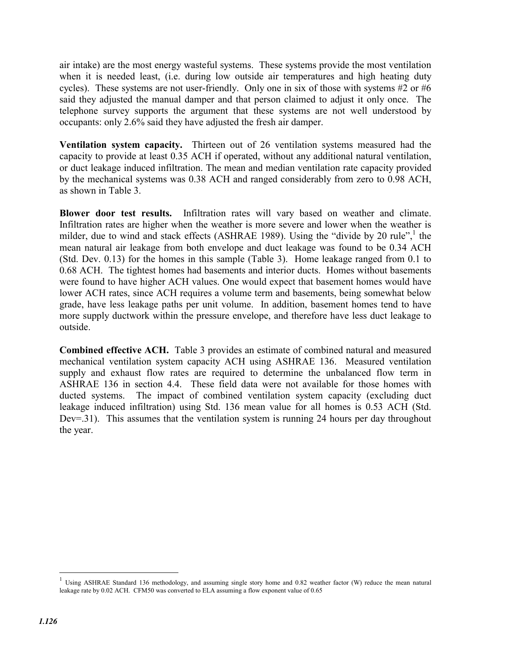air intake) are the most energy wasteful systems. These systems provide the most ventilation when it is needed least, *(i.e. during low outside air temperatures and high heating duty* cycles). These systems are not user-friendly. Only one in six of those with systems #2 or #6 said they adjusted the manual damper and that person claimed to adjust it only once. The telephone survey supports the argument that these systems are not well understood by occupants: only 2.6% said they have adjusted the fresh air damper.

**Ventilation system capacity.** Thirteen out of 26 ventilation systems measured had the capacity to provide at least 0.35 ACH if operated, without any additional natural ventilation, or duct leakage induced infiltration. The mean and median ventilation rate capacity provided by the mechanical systems was 0.38 ACH and ranged considerably from zero to 0.98 ACH, as shown in Table 3.

**Blower door test results.** Infiltration rates will vary based on weather and climate. Infiltration rates are higher when the weather is more severe and lower when the weather is milder, due to wind and stack effects (ASHRAE 1989). Using the "divide by 20 rule", $\frac{1}{1}$  the mean natural air leakage from both envelope and duct leakage was found to be 0.34 ACH (Std. Dev. 0.13) for the homes in this sample (Table 3). Home leakage ranged from 0.1 to 0.68 ACH. The tightest homes had basements and interior ducts. Homes without basements were found to have higher ACH values. One would expect that basement homes would have lower ACH rates, since ACH requires a volume term and basements, being somewhat below grade, have less leakage paths per unit volume. In addition, basement homes tend to have more supply ductwork within the pressure envelope, and therefore have less duct leakage to outside.

**Combined effective ACH.** Table 3 provides an estimate of combined natural and measured mechanical ventilation system capacity ACH using ASHRAE 136. Measured ventilation supply and exhaust flow rates are required to determine the unbalanced flow term in ASHRAE 136 in section 4.4. These field data were not available for those homes with ducted systems. The impact of combined ventilation system capacity (excluding duct leakage induced infiltration) using Std. 136 mean value for all homes is 0.53 ACH (Std. Dev=.31). This assumes that the ventilation system is running 24 hours per day throughout the year.

 $\overline{a}$ 

Using ASHRAE Standard 136 methodology, and assuming single story home and 0.82 weather factor (W) reduce the mean natural leakage rate by 0.02 ACH. CFM50 was converted to ELA assuming a flow exponent value of 0.65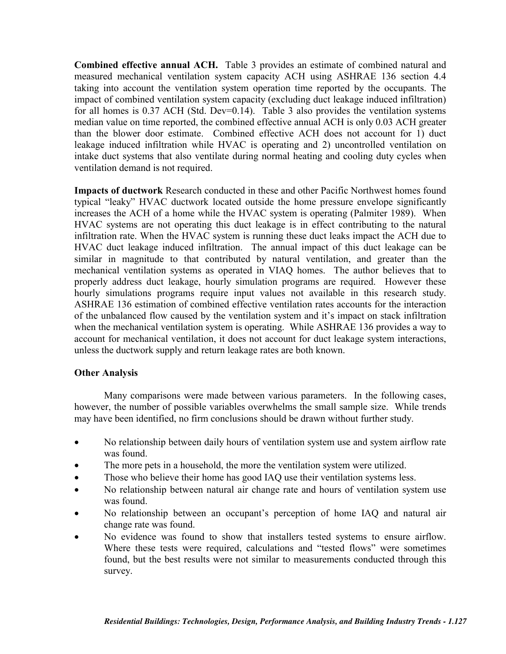**Combined effective annual ACH.** Table 3 provides an estimate of combined natural and measured mechanical ventilation system capacity ACH using ASHRAE 136 section 4.4 taking into account the ventilation system operation time reported by the occupants. The impact of combined ventilation system capacity (excluding duct leakage induced infiltration) for all homes is 0.37 ACH (Std. Dev=0.14). Table 3 also provides the ventilation systems median value on time reported, the combined effective annual ACH is only 0.03 ACH greater than the blower door estimate. Combined effective ACH does not account for 1) duct leakage induced infiltration while HVAC is operating and 2) uncontrolled ventilation on intake duct systems that also ventilate during normal heating and cooling duty cycles when ventilation demand is not required.

**Impacts of ductwork** Research conducted in these and other Pacific Northwest homes found typical "leaky" HVAC ductwork located outside the home pressure envelope significantly increases the ACH of a home while the HVAC system is operating (Palmiter 1989). When HVAC systems are not operating this duct leakage is in effect contributing to the natural infiltration rate. When the HVAC system is running these duct leaks impact the ACH due to HVAC duct leakage induced infiltration. The annual impact of this duct leakage can be similar in magnitude to that contributed by natural ventilation, and greater than the mechanical ventilation systems as operated in VIAQ homes. The author believes that to properly address duct leakage, hourly simulation programs are required. However these hourly simulations programs require input values not available in this research study. ASHRAE 136 estimation of combined effective ventilation rates accounts for the interaction of the unbalanced flow caused by the ventilation system and it's impact on stack infiltration when the mechanical ventilation system is operating. While ASHRAE 136 provides a way to account for mechanical ventilation, it does not account for duct leakage system interactions, unless the ductwork supply and return leakage rates are both known.

## **Other Analysis**

Many comparisons were made between various parameters. In the following cases, however, the number of possible variables overwhelms the small sample size. While trends may have been identified, no firm conclusions should be drawn without further study.

- No relationship between daily hours of ventilation system use and system airflow rate was found.
- The more pets in a household, the more the ventilation system were utilized.
- Those who believe their home has good IAQ use their ventilation systems less.
- No relationship between natural air change rate and hours of ventilation system use was found.
- No relationship between an occupant's perception of home IAQ and natural air change rate was found.
- No evidence was found to show that installers tested systems to ensure airflow. Where these tests were required, calculations and "tested flows" were sometimes found, but the best results were not similar to measurements conducted through this survey.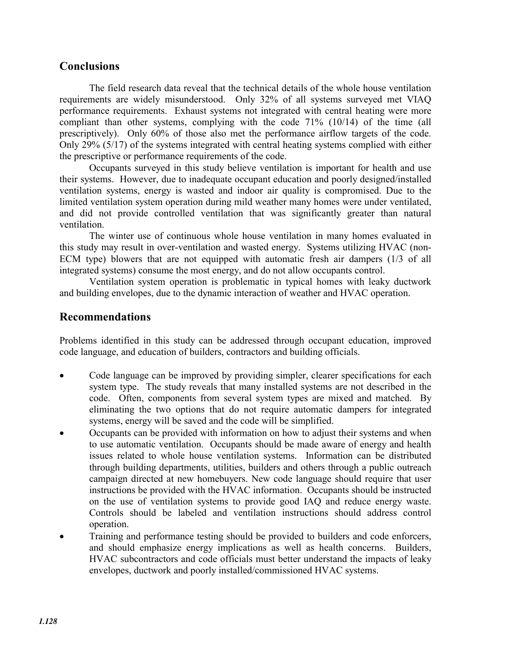# **Conclusions**

The field research data reveal that the technical details of the whole house ventilation requirements are widely misunderstood. Only 32% of all systems surveyed met VIAQ performance requirements. Exhaust systems not integrated with central heating were more compliant than other systems, complying with the code 71% (10/14) of the time (all prescriptively). Only 60% of those also met the performance airflow targets of the code. Only 29% (5/17) of the systems integrated with central heating systems complied with either the prescriptive or performance requirements of the code.

Occupants surveyed in this study believe ventilation is important for health and use their systems. However, due to inadequate occupant education and poorly designed/installed ventilation systems, energy is wasted and indoor air quality is compromised. Due to the limited ventilation system operation during mild weather many homes were under ventilated, and did not provide controlled ventilation that was significantly greater than natural ventilation.

The winter use of continuous whole house ventilation in many homes evaluated in this study may result in over-ventilation and wasted energy. Systems utilizing HVAC (non-ECM type) blowers that are not equipped with automatic fresh air dampers (1/3 of all integrated systems) consume the most energy, and do not allow occupants control.

Ventilation system operation is problematic in typical homes with leaky ductwork and building envelopes, due to the dynamic interaction of weather and HVAC operation.

# **Recommendations**

Problems identified in this study can be addressed through occupant education, improved code language, and education of builders, contractors and building officials.

- Code language can be improved by providing simpler, clearer specifications for each system type. The study reveals that many installed systems are not described in the code. Often, components from several system types are mixed and matched. By eliminating the two options that do not require automatic dampers for integrated systems, energy will be saved and the code will be simplified.
- Occupants can be provided with information on how to adjust their systems and when to use automatic ventilation. Occupants should be made aware of energy and health issues related to whole house ventilation systems. Information can be distributed through building departments, utilities, builders and others through a public outreach campaign directed at new homebuyers. New code language should require that user instructions be provided with the HVAC information. Occupants should be instructed on the use of ventilation systems to provide good IAQ and reduce energy waste. Controls should be labeled and ventilation instructions should address control operation.
- Training and performance testing should be provided to builders and code enforcers, and should emphasize energy implications as well as health concerns. Builders, HVAC subcontractors and code officials must better understand the impacts of leaky envelopes, ductwork and poorly installed/commissioned HVAC systems.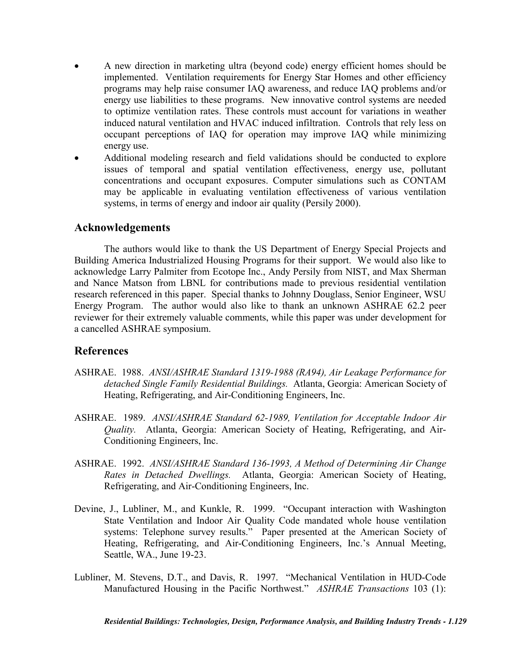- x A new direction in marketing ultra (beyond code) energy efficient homes should be implemented. Ventilation requirements for Energy Star Homes and other efficiency programs may help raise consumer IAQ awareness, and reduce IAQ problems and/or energy use liabilities to these programs. New innovative control systems are needed to optimize ventilation rates. These controls must account for variations in weather induced natural ventilation and HVAC induced infiltration. Controls that rely less on occupant perceptions of IAQ for operation may improve IAQ while minimizing energy use.
- x Additional modeling research and field validations should be conducted to explore issues of temporal and spatial ventilation effectiveness, energy use, pollutant concentrations and occupant exposures. Computer simulations such as CONTAM may be applicable in evaluating ventilation effectiveness of various ventilation systems, in terms of energy and indoor air quality (Persily 2000).

# **Acknowledgements**

The authors would like to thank the US Department of Energy Special Projects and Building America Industrialized Housing Programs for their support. We would also like to acknowledge Larry Palmiter from Ecotope Inc., Andy Persily from NIST, and Max Sherman and Nance Matson from LBNL for contributions made to previous residential ventilation research referenced in this paper. Special thanks to Johnny Douglass, Senior Engineer, WSU Energy Program. The author would also like to thank an unknown ASHRAE 62.2 peer reviewer for their extremely valuable comments, while this paper was under development for a cancelled ASHRAE symposium.

# **References**

- ASHRAE. 1988. *ANSI/ASHRAE Standard 1319-1988 (RA94), Air Leakage Performance for detached Single Family Residential Buildings.* Atlanta, Georgia: American Society of Heating, Refrigerating, and Air-Conditioning Engineers, Inc.
- ASHRAE. 1989. *ANSI/ASHRAE Standard 62-1989, Ventilation for Acceptable Indoor Air Quality.* Atlanta, Georgia: American Society of Heating, Refrigerating, and Air-Conditioning Engineers, Inc.
- ASHRAE. 1992. *ANSI/ASHRAE Standard 136-1993, A Method of Determining Air Change Rates in Detached Dwellings.* Atlanta, Georgia: American Society of Heating, Refrigerating, and Air-Conditioning Engineers, Inc.
- Devine, J., Lubliner, M., and Kunkle, R. 1999. "Occupant interaction with Washington State Ventilation and Indoor Air Quality Code mandated whole house ventilation systems: Telephone survey results." Paper presented at the American Society of Heating, Refrigerating, and Air-Conditioning Engineers, Inc.'s Annual Meeting, Seattle, WA., June 19-23.
- Lubliner, M. Stevens, D.T., and Davis, R. 1997. "Mechanical Ventilation in HUD-Code Manufactured Housing in the Pacific Northwest." *ASHRAE Transactions* 103 (1):